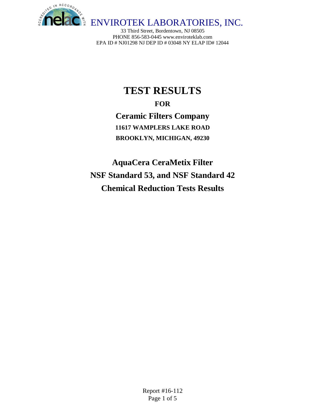

# **TEST RESULTS**

**FOR Ceramic Filters Company 11617 WAMPLERS LAKE ROAD BROOKLYN, MICHIGAN, 49230**

**AquaCera CeraMetix Filter NSF Standard 53, and NSF Standard 42 Chemical Reduction Tests Results**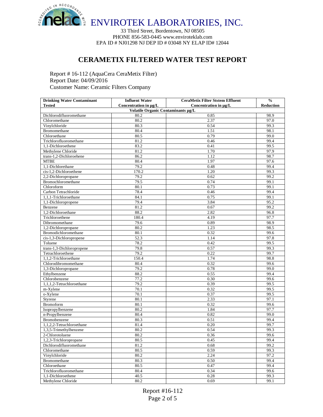

## **CERAMETIX FILTERED WATER TEST REPORT**

Report # 16-112 (AquaCera CeraMetix Filter) Report Date: 04/09/2016 Customer Name: Ceramic Filters Company

| <b>Drinking Water Contaminant</b>         | <b>Influent Water</b> | <b>CeraMetix Filter Ststem Effluent</b> | $\frac{0}{0}$    |  |  |  |
|-------------------------------------------|-----------------------|-----------------------------------------|------------------|--|--|--|
| <b>Tested</b>                             | Concentration in µg/L | Concentration in µg/L                   | <b>Reduction</b> |  |  |  |
| Volatile Organic Contaminants µg/L        |                       |                                         |                  |  |  |  |
| Dichlorodifluoromethane                   | 80.2                  | 0.85                                    | 98.9             |  |  |  |
| Chloromethane                             | 80.2                  | 2.37                                    | 97.0             |  |  |  |
| Vinylchloride                             | 80.3                  | 0.54                                    | 99.3             |  |  |  |
| Bromomethane                              | 80.4                  | 1.51                                    | 98.1             |  |  |  |
| Chloroethane                              | 80.5                  | 0.79                                    | 99.0             |  |  |  |
| Trichlorofluoromethane                    | 81.2                  | 0.46                                    | 99.4             |  |  |  |
| 1,1-Dichloroethene                        | 83.2                  | 0.41                                    | 99.5             |  |  |  |
| Methylene Chloride                        | 81.2                  | 1.70                                    | 97.9             |  |  |  |
| trans-1,2-Dichloroehene                   | 86.2                  | 1.12                                    | 98.7             |  |  |  |
| <b>MTBE</b>                               | 80.4                  | 1.97                                    | 97.6             |  |  |  |
| 1.1-Dichlorethane                         | 79.2                  | 0.48                                    | 99.4             |  |  |  |
| cis-1.2-Dichloroethene                    | 170.2                 | 1.20                                    | 99.3             |  |  |  |
| 2,2-Dichloropropane                       | 79.2                  | 0.62                                    | 99.2             |  |  |  |
| Bromochloromethane                        | 79.5                  | 0.74                                    | 99.1             |  |  |  |
| Chloroform                                | 80.1                  | 0.73                                    | 99.1             |  |  |  |
| Carbon Tetrachloride                      | 78.4                  | 0.46                                    | 99.4             |  |  |  |
| 1,1,1-Trichloroethane                     | 84.1                  | 0.75                                    | 99.1             |  |  |  |
| 1,1-Dichloropropene                       | 79.4                  | 3.84                                    | 95.2             |  |  |  |
| Benzene                                   | 81.2                  | 0.67                                    | 99.2             |  |  |  |
| 1,2-Dichloroethane                        | 88.2                  | 2.82                                    | 96.8             |  |  |  |
| Trichloroethene                           | 180.4                 | 4.19                                    | 97.7             |  |  |  |
| Dibromomethane                            | 79.6                  | 0.89                                    | 98.9             |  |  |  |
| 1,2-Dichloropropane                       | 80.2                  | 1.23                                    | 98.5             |  |  |  |
| Bromodichloromethane                      | 80.1                  | 0.32                                    | 99.6             |  |  |  |
| cis-1,3-Dichloropropene                   | 52.3                  | 1.14                                    | 97.8             |  |  |  |
| Toluene                                   | 78.2                  | 0.42                                    | 99.5             |  |  |  |
| trans-1,3-Dichloropropene                 | 79.8                  | 0.57                                    | 99.3             |  |  |  |
| Tetrachloroethene                         | 79.2                  | 0.22                                    | 99.7             |  |  |  |
| 1,1,2-Trichloroethane                     | 150.4                 | 1.74                                    | 98.8             |  |  |  |
| Chlorodibromomethane                      | 80.4                  | 0.32                                    | 99.6             |  |  |  |
| 1,3-Dichloropropane                       | 79.2                  | 0.78                                    | 99.0             |  |  |  |
| Ethylbenzene                              | 88.2                  | 0.55                                    | 99.4             |  |  |  |
| Chlorobenzene                             | 77.2                  | 0.30                                    | 99.6             |  |  |  |
| 1,1,1,2-Tetrachloroethane                 | 79.2                  | 0.39                                    | 99.5             |  |  |  |
| m-Xylene                                  | 70.1                  | 0.32                                    | 99.5             |  |  |  |
| o-Xylene                                  | 70.1                  | 0.37                                    | 99.5             |  |  |  |
| Styrene                                   | $\overline{80.1}$     | 2.33                                    | 97.1             |  |  |  |
| <b>Bromoform</b>                          | 80.1                  | 0.32                                    | 99.6             |  |  |  |
| Isopropylbenzene                          | 80.2                  | 1.84                                    | 97.7             |  |  |  |
| n-Propylbenzene                           | 80.4                  | 0.82                                    | 99.0             |  |  |  |
| Bromobenzene                              | 80.3                  | 0.51                                    | 99.4             |  |  |  |
| 1,1,2,2-Tetrachloroethane                 | 81.4                  | 0.20                                    | 99.7             |  |  |  |
| 1,3,5-Trimethylbenzene                    | 80.2                  | 0.54                                    | 99.3             |  |  |  |
|                                           | 80.2                  |                                         | 99.6             |  |  |  |
| 2-Chlorotoluene<br>1,2,3-Trichloropropane | 80.5                  | 0.36                                    | 99.4             |  |  |  |
| Dichlorodifluoromethane                   | 81.2                  | 0.45<br>0.68                            | 99.2             |  |  |  |
|                                           | 80.5                  |                                         |                  |  |  |  |
| Chloromethane<br>Vinylchloride            | 80.2                  | 0.59<br>2.24                            | 99.3<br>97.2     |  |  |  |
| Bromomethane                              | 80.3                  |                                         | 99.4             |  |  |  |
| Chloroethane                              | 80.5                  | 0.50<br>0.47                            | 99.4             |  |  |  |
|                                           |                       |                                         |                  |  |  |  |
| Trichlorofluoromethane                    | 80.4                  | 0.34                                    | 99.6             |  |  |  |
| 1,1-Dichloroethene                        | 40.5                  | 0.28                                    | 99.3             |  |  |  |
| Methylene Chloride                        | 80.2                  | 0.69                                    | 99.1             |  |  |  |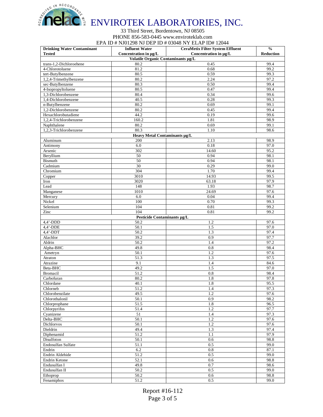

| <b>Drinking Water Contaminant</b> | <b>Influent Water</b>              | CeraMetix Filter System Effluent | $\frac{0}{0}$    |
|-----------------------------------|------------------------------------|----------------------------------|------------------|
| <b>Tested</b>                     | Concentration in ug/L              | Concentration in µg/L            | <b>Reduction</b> |
|                                   | Volatile Organic Contaminants µg/L |                                  |                  |
| trans-1,2-Dichloroehene           | 80.2                               | 0.45                             | 99.4             |
| 4-Chlorotoluene                   | 81.2                               | 0.68                             | 99.2             |
| tert-Butylbenzene                 | 80.5                               | 0.59                             | 99.3             |
| 1,2,4-Trimethylbenzene            | 80.2                               | 2.24                             | 97.2             |
| sec-Butylbenzene                  | 80.3                               | 0.50                             | 99.4             |
| 4-Isopropyltoluene                | 80.5                               | 0.47                             | 99.4             |
| 1,3-Dichlorobenzene               | 80.4                               | 0.34                             | 99.6             |
| 1,4-Dichlorobenzene               | 40.5                               | 0.28                             | 99.3             |
| n-Butylbenzene                    | 80.2                               | 0.69                             | 99.1             |
| 1,2-Dichlorobenzene               | 80.2                               | 0.45                             | 99.4             |
| Hexachlorobutadiene               | 44.2                               | 0.19                             | 99.6             |
| $1,2,4$ -Trichlorobenzene         | 160.2                              | 1.81                             | 98.9             |
| Naphthalene                       | 80.2                               | 0.69                             | 99.1             |
| 1,2,3-Trichlorobenzene            | 80.3                               | 1.10                             | 98.6             |
|                                   | Heavy Metal Contaminants µg/L      |                                  |                  |
| Aluminum                          | 200                                | 2.13                             | 98.9             |
| Antimony                          | 6.0                                | 0.18                             | 97.0             |
| Arsenic                           | 302                                | 14.60                            | 95.2             |
| Beryllium                         | 50                                 | 0.94                             | 98.1             |
| <b>Bismuth</b>                    | 50                                 | 0.94                             | 98.1             |
| Cadmium                           | 30                                 | 0.29                             | 99.0             |
| Chromium                          | 304                                | 1.70                             | 99.4             |
| Copper                            | 3010                               | 14.93                            | 99.5             |
| Iron                              | 3020                               | 63.18                            | 97.9             |
| Lead                              | 148                                | 1.93                             | 98.7             |
| Manganese                         | 1010                               | 24.69                            | 97.6             |
| Mercury                           | 6.0                                | 0.04                             | 99.4             |
| Nickel                            | 100                                | 0.70                             | 99.3             |
| Selenium                          | 104                                | 0.81                             | 99.2             |
| Zinc                              | 104                                | 0.81                             | 99.2             |
|                                   | Pesticide Contaminants µg/L        |                                  |                  |
| $4,4'$ -DDD                       | 50.2                               | 1.2                              | 97.6             |
| $4,4'$ -DDE                       | 50.1                               | 1.5                              | 97.0             |
| $4.4'$ -DDT                       | 50.2                               | 1.3                              | 97.4             |
| Alachlor                          | 39.2                               | 0.9                              | 97.7             |
| Aldrin                            | 50.2                               | 1.4                              | 97.2             |
| Alpha-BHC                         | 49.8                               | 0.8                              | 98.4             |
|                                   | 50.1                               | 1.2                              | 97.6             |
| Ametryn<br>Atraton                | 51.3                               | 1.3                              | 97.5             |
|                                   | 9.1                                | 1.4                              | 84.6             |
| Atrazine<br>Beta-BHC              | 49.2                               | 1.5                              | 97.0             |
| <b>Bromacil</b>                   | 51.2                               |                                  | 98.4             |
| Carbofuran                        | 80.2                               | 0.8<br>1.8                       | 97.8             |
|                                   | 40.1                               |                                  | 95.5             |
| Chlordane                         |                                    | 1.8                              |                  |
| Chlorneb                          | 51.2<br>49.5                       | 1.4<br>1.2                       | 97.3<br>97.6     |
| Chlorobenzilate                   |                                    |                                  |                  |
| Chlorothalonil                    | 50.1                               | 0.9                              | 98.2             |
| Chlorprophane                     | 51.5                               | 1.8                              | 96.5             |
| Chlorpyrifos                      | 51.4                               | 1.2                              | 97.7             |
| Cyanizene                         | 51                                 | 1.4                              | 97.3             |
| Delta-BHC                         | 50.1                               | 1.2                              | 97.6             |
| Dichlorvos                        | 50.1                               | 1.2                              | 97.6             |
| Dieldrin                          | 49.4                               | 1.3                              | 97.4             |
| Diphenamid                        | 51.2                               | 1.1                              | 97.9             |
| Disulfoton                        | 50.1                               | 0.6                              | 98.8             |
| Endosulfan Sulfate                | 51.1                               | 0.5                              | 99.0             |
| Endrin                            | 6.2                                | 0.8                              | 87.1             |
| Endrin Aldehide                   | 51.2                               | 0.5                              | 99.0             |
| Endrin Ketone                     | 52.1                               | 0.6                              | 98.8             |
| Endusulfan I                      | 49.8                               | 0.7                              | 98.6             |
| Endusulfan II                     | 50.2                               | 0.5                              | 99.0             |
| Ethoprop                          | 50.2                               | 0.6                              | 98.8             |
| Fenamiphos                        | 51.2                               | 0.5                              | 99.0             |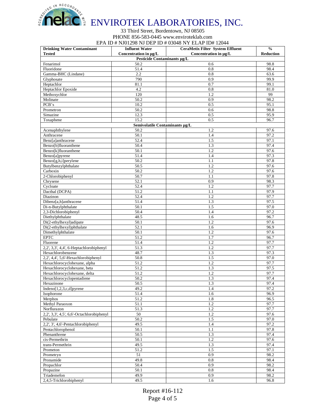# ENVIROTEK LABORATORIES, INC.

### 33 Third Street, Bordentown, NJ 08505 PHONE 856-583-0445 www.enviroteklab.com EPA ID # NJ01298 NJ DEP ID # 03048 NY ELAP ID# 12044

| <b>Drinking Water Contaminant</b>                     | <b>Influent Water</b>          | $2.11 \text{ m}$ $\frac{100012}{201000100}$ $\frac{10000000001}{2000000000}$<br><b>CeraMetix Filter System Effluent</b> | $\frac{0}{0}$ |
|-------------------------------------------------------|--------------------------------|-------------------------------------------------------------------------------------------------------------------------|---------------|
| <b>Tested</b>                                         | Concentration in µg/L          | Concentration in µg/L                                                                                                   | Reduction     |
|                                                       | Pesticide Contaminants µg/L    |                                                                                                                         |               |
| Fenarimol                                             | 50.2                           | 0.6                                                                                                                     | 98.8          |
| Fluoridone                                            | 51.4                           | 0.8                                                                                                                     | 98.4          |
| Gamma-BHC (Lindane)                                   | 2.2                            | 0.8                                                                                                                     | 63.6          |
| Glyphosate                                            | 790                            | 0.9                                                                                                                     | 99.9          |
| Heptachlor                                            | 81.1                           | 0.7                                                                                                                     | 99.1          |
| Heptachlor Epoxide<br>Methoxychlor                    | 4.2<br>120                     | 0.8<br>1.2                                                                                                              | 81.0<br>99    |
| Molinate                                              | 50.2                           | 0.9                                                                                                                     | 98.2          |
| PCB's                                                 | 10.2                           | 0.5                                                                                                                     | 95.1          |
| Prometron                                             | 50.2                           | 0.6                                                                                                                     | 98.8          |
| Simazine                                              | 12.3                           | 0.5                                                                                                                     | 95.9          |
| Toxaphene                                             | 15.2                           | 0.5                                                                                                                     | 96.7          |
|                                                       | Semivolatile Contaminants µg/L |                                                                                                                         |               |
| Acenaphthylene                                        | 50.2                           | 1.2                                                                                                                     | 97.6          |
| Anthracene                                            | 50.1                           | 1.4                                                                                                                     | 97.2          |
| Benz[a]anthracene                                     | 52.4                           | 1.5                                                                                                                     | 97.1          |
| Benzo[b]fluoranthene                                  | 50.4                           | 1.3                                                                                                                     | 97.4          |
| Benzo[k]fluoranthene                                  | 50.1                           | 1.2                                                                                                                     | 97.6          |
| Benzo[a]pyrene                                        | 51.4                           | 1.4                                                                                                                     | 97.3          |
| Benzo[g,h,i]perylene                                  | 50.2                           | 1.1                                                                                                                     | 97.8          |
| Butylbenzylphthalate                                  | 50.5                           | 1.2                                                                                                                     | 97.6          |
| Carboxin                                              | 50.2                           | 1.2                                                                                                                     | 97.6          |
| 2-Chlorobiphenyl                                      | 50.7                           | 1.1                                                                                                                     | 97.8          |
| Chrysene                                              | 52.1                           | 0.9                                                                                                                     | 98.3          |
| Cycloate                                              | 52.4                           | 1.2                                                                                                                     | 97.7          |
| Dacthal (DCPA)                                        | 51.2                           | 1.1                                                                                                                     | 97.9          |
| Diazinon                                              | 52.4                           | 1.2                                                                                                                     | 97.7          |
| Dibenz[a,h]anthracene                                 | 51.4                           | 1.3                                                                                                                     | 97.5          |
| Di-n-Butylphthalate                                   | 50.1                           | 1.5                                                                                                                     | 97.0          |
| 2,3-Dichlorobiphenyl                                  | 50.4                           | 1.4                                                                                                                     | 97.2          |
| Diethylphthalate                                      | 48.5                           | 1.6                                                                                                                     | 96.7          |
| Di(2-ethylhexyl)adipate                               | 50.1                           | 1.2                                                                                                                     | 97.6          |
| Di(2-ethylhexyl)phthalate                             | 52.1                           | 1.6                                                                                                                     | 96.9          |
| Dimethylphthalate                                     | 50.1                           | 1.2                                                                                                                     | 97.6          |
| <b>EPTC</b>                                           | 51.2                           | 1.7                                                                                                                     | 96.7          |
| Fluorene                                              | 51.4                           | 1.2                                                                                                                     | 97.7          |
| 2,2', 3,3', 4,4', 6-Heptachlorobiphenyl               | 51.3                           | 1.2                                                                                                                     | 97.7          |
| Hexachlorobenzene                                     | 48.7                           | 1.3                                                                                                                     | 97.3          |
| 2,2', 4,4', 5,6'-Hexachlorobiphenyl                   | 50.8                           | 1.5                                                                                                                     | 97.0          |
| Hexachlorocyclohexane, alpha                          | 51.2                           | 1.2                                                                                                                     | 97.7          |
| Hexachlorocyclohexane, beta                           | 51.2                           | 1.3                                                                                                                     | 97.5          |
| Hexachlorocyclohexane, delta                          | 51.2                           | 1.2                                                                                                                     | 97.7          |
| Hexachlorocyclopentadiene                             | 50.2                           | 1.3                                                                                                                     | 97.4          |
| Hexazinone                                            | 50.5                           | 1.3                                                                                                                     | 97.4          |
| Indeno[1,2,3,c,d] pyrene                              | 49.2<br>51.4                   | 1.4                                                                                                                     | 97.2          |
| Isophorone                                            |                                | 1.6                                                                                                                     | 96.9          |
| Merphos<br>Methyl Paraoxon                            | 51.2<br>51.1                   | $1.8\,$<br>1.2                                                                                                          | 96.5<br>97.7  |
| Norflurazon                                           | 51.3                           | 1.2                                                                                                                     | 97.7          |
| $2,2$ ', $3,3$ ', $4,5$ ', $6,6$ '-Octachlorobiphenyl | 50                             | 1.2                                                                                                                     | 97.6          |
| Pebulate                                              | 50.2                           | 1.5                                                                                                                     | 97.0          |
| 2,2', 3', 4,6'-Pentachlorobiphenyl                    | 49.5                           | 1.4                                                                                                                     | 97.2          |
| Pentachlorophenol                                     | 50.1                           | 1.1                                                                                                                     | 97.8          |
| Phenanthrene                                          | 50.5                           | 1.3                                                                                                                     | 97.4          |
| cis-Permethrin                                        | 50.1                           | 1.2                                                                                                                     | 97.6          |
| trans-Permethrin                                      | 49.5                           | 1.3                                                                                                                     | 97.4          |
| Prometon                                              | 51.2                           | 1.5                                                                                                                     | 97.1          |
| Prometryn                                             | 51                             | 0.9                                                                                                                     | 98.2          |
| Pronamide                                             | 49.8                           | 0.8                                                                                                                     | 98.4          |
| Propachlor                                            | 50.4                           | 0.9                                                                                                                     | 98.2          |
| Propazine                                             | 50.1                           | 0.8                                                                                                                     | 98.4          |
| Triademefon                                           | 49.9                           | 0.9                                                                                                                     | 98.2          |
| 2,4,5-Trichlorobiphenyl                               | 49.5                           | 1.6                                                                                                                     | 96.8          |